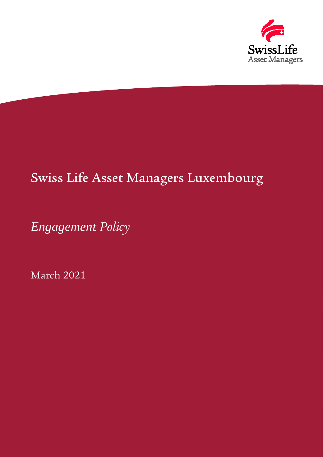

# Swiss Life Asset Managers Luxembourg

*Engagement Policy*

March 2021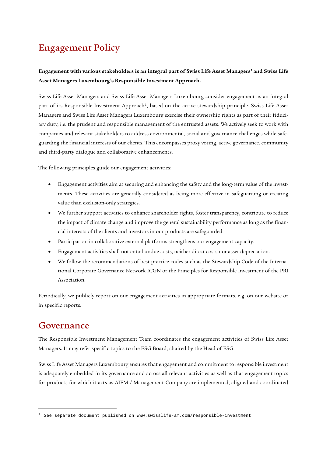# Engagement Policy

#### **Engagement with various stakeholders is an integral part of Swiss Life Asset Managers' and Swiss Life Asset Managers Luxembourg's Responsible Investment Approach.**

Swiss Life Asset Managers and Swiss Life Asset Managers Luxembourg consider engagement as an integral part of its Responsible Investment Approach<sup>1</sup>, based on the active stewardship principle. Swiss Life Asset Managers and Swiss Life Asset Managers Luxembourg exercise their ownership rights as part of their fiduciary duty, i.e. the prudent and responsible management of the entrusted assets. We actively seek to work with companies and relevant stakeholders to address environmental, social and governance challenges while safeguarding the financial interests of our clients. This encompasses proxy voting, active governance, community and third-party dialogue and collaborative enhancements.

The following principles guide our engagement activities:

- Engagement activities aim at securing and enhancing the safety and the long-term value of the investments. These activities are generally considered as being more effective in safeguarding or creating value than exclusion-only strategies.
- We further support activities to enhance shareholder rights, foster transparency, contribute to reduce the impact of climate change and improve the general sustainability performance as long as the financial interests of the clients and investors in our products are safeguarded.
- Participation in collaborative external platforms strengthens our engagement capacity.
- Engagement activities shall not entail undue costs, neither direct costs nor asset depreciation.
- We follow the recommendations of best practice codes such as the Stewardship Code of the International Corporate Governance Network ICGN or the Principles for Responsible Investment of the PRI Association.

Periodically, we publicly report on our engagement activities in appropriate formats, e.g. on our website or in specific reports.

#### Governance

-

The Responsible Investment Management Team coordinates the engagement activities of Swiss Life Asset Managers. It may refer specific topics to the ESG Board, chaired by the Head of ESG.

Swiss Life Asset Managers Luxembourg ensures that engagement and commitment to responsible investment is adequately embedded in its governance and across all relevant activities as well as that engagement topics for products for which it acts as AIFM / Management Company are implemented, aligned and coordinated

<span id="page-1-0"></span> $1$  See separate document published on www.swisslife-am.com/responsible-investment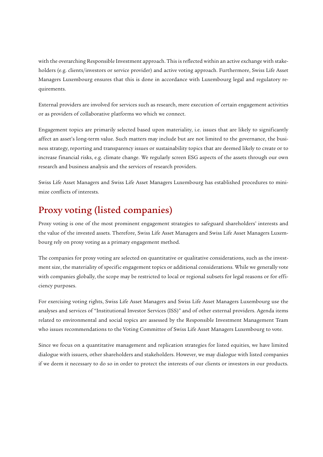with the overarching Responsible Investment approach. This is reflected within an active exchange with stakeholders (e.g. clients/investors or service provider) and active voting approach. Furthermore, Swiss Life Asset Managers Luxembourg ensures that this is done in accordance with Luxembourg legal and regulatory requirements.

External providers are involved for services such as research, mere execution of certain engagement activities or as providers of collaborative platforms wo which we connect.

Engagement topics are primarily selected based upon materiality, i.e. issues that are likely to significantly affect an asset's long-term value. Such matters may include but are not limited to the governance, the business strategy, reporting and transparency issues or sustainability topics that are deemed likely to create or to increase financial risks, e.g. climate change. We regularly screen ESG aspects of the assets through our own research and business analysis and the services of research providers.

Swiss Life Asset Managers and Swiss Life Asset Managers Luxembourg has established procedures to minimize conflicts of interests.

## Proxy voting (listed companies)

Proxy voting is one of the most prominent engagement strategies to safeguard shareholders' interests and the value of the invested assets. Therefore, Swiss Life Asset Managers and Swiss Life Asset Managers Luxembourg rely on proxy voting as a primary engagement method.

The companies for proxy voting are selected on quantitative or qualitative considerations, such as the investment size, the materiality of specific engagement topics or additional considerations. While we generally vote with companies globally, the scope may be restricted to local or regional subsets for legal reasons or for efficiency purposes.

For exercising voting rights, Swiss Life Asset Managers and Swiss Life Asset Managers Luxembourg use the analyses and services of "Institutional Investor Services (ISS)" and of other external providers. Agenda items related to environmental and social topics are assessed by the Responsible Investment Management Team who issues recommendations to the Voting Committee of Swiss Life Asset Managers Luxembourg to vote.

Since we focus on a quantitative management and replication strategies for listed equities, we have limited dialogue with issuers, other shareholders and stakeholders. However, we may dialogue with listed companies if we deem it necessary to do so in order to protect the interests of our clients or investors in our products.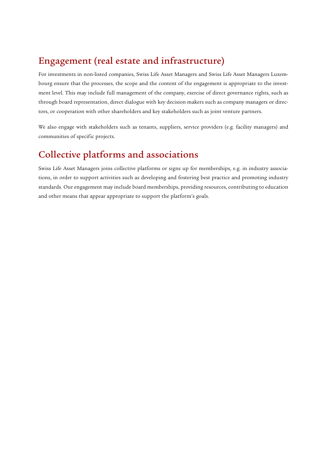### Engagement (real estate and infrastructure)

For investments in non-listed companies, Swiss Life Asset Managers and Swiss Life Asset Managers Luxembourg ensure that the processes, the scope and the content of the engagement is appropriate to the investment level. This may include full management of the company, exercise of direct governance rights, such as through board representation, direct dialogue with key decision makers such as company managers or directors, or cooperation with other shareholders and key stakeholders such as joint venture partners.

We also engage with stakeholders such as tenants, suppliers, service providers (e.g. facility managers) and communities of specific projects.

### Collective platforms and associations

Swiss Life Asset Managers joins collective platforms or signs up for memberships, e.g. in industry associations, in order to support activities such as developing and fostering best practice and promoting industry standards. Our engagement may include board memberships, providing resources, contributing to education and other means that appear appropriate to support the platform's goals.